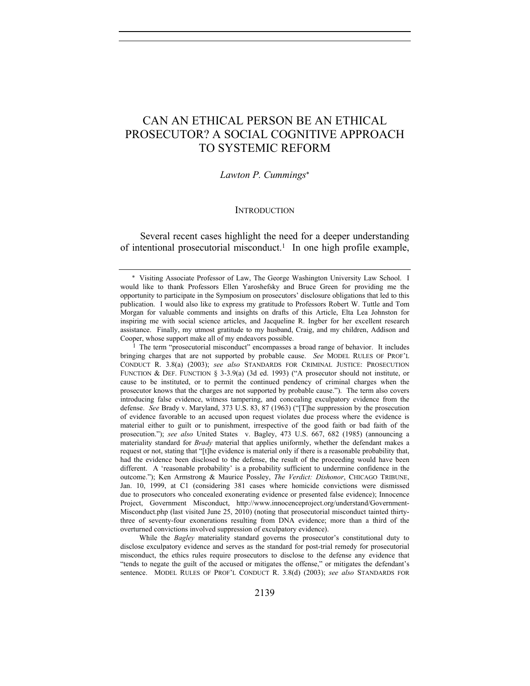# CAN AN ETHICAL PERSON BE AN ETHICAL PROSECUTOR? A SOCIAL COGNITIVE APPROACH TO SYSTEMIC REFORM

#### *Lawton P. Cummings*

#### **INTRODUCTION**

Several recent cases highlight the need for a deeper understanding of intentional prosecutorial misconduct.<sup>1</sup> In one high profile example,

<sup>1</sup> The term "prosecutorial misconduct" encompasses a broad range of behavior. It includes bringing charges that are not supported by probable cause. *See* MODEL RULES OF PROF'L CONDUCT R. 3.8(a) (2003); *see also* STANDARDS FOR CRIMINAL JUSTICE: PROSECUTION FUNCTION & DEF. FUNCTION § 3-3.9(a) (3d ed. 1993) ("A prosecutor should not institute, or cause to be instituted, or to permit the continued pendency of criminal charges when the prosecutor knows that the charges are not supported by probable cause."). The term also covers introducing false evidence, witness tampering, and concealing exculpatory evidence from the defense. *See* Brady v. Maryland, 373 U.S. 83, 87 (1963) ("[T]he suppression by the prosecution of evidence favorable to an accused upon request violates due process where the evidence is material either to guilt or to punishment, irrespective of the good faith or bad faith of the prosecution."); *see also* United States v. Bagley, 473 U.S. 667, 682 (1985) (announcing a materiality standard for *Brady* material that applies uniformly, whether the defendant makes a request or not, stating that "[t]he evidence is material only if there is a reasonable probability that, had the evidence been disclosed to the defense, the result of the proceeding would have been different. A 'reasonable probability' is a probability sufficient to undermine confidence in the outcome."); Ken Armstrong & Maurice Possley, *The Verdict: Dishonor*, CHICAGO TRIBUNE, Jan. 10, 1999, at C1 (considering 381 cases where homicide convictions were dismissed due to prosecutors who concealed exonerating evidence or presented false evidence); Innocence Project, Government Misconduct, http://www.innocenceproject.org/understand/Government-Misconduct.php (last visited June 25, 2010) (noting that prosecutorial misconduct tainted thirtythree of seventy-four exonerations resulting from DNA evidence; more than a third of the overturned convictions involved suppression of exculpatory evidence).

 While the *Bagley* materiality standard governs the prosecutor's constitutional duty to disclose exculpatory evidence and serves as the standard for post-trial remedy for prosecutorial misconduct, the ethics rules require prosecutors to disclose to the defense any evidence that "tends to negate the guilt of the accused or mitigates the offense," or mitigates the defendant's sentence. MODEL RULES OF PROF'L CONDUCT R. 3.8(d) (2003); *see also* STANDARDS FOR

 Visiting Associate Professor of Law, The George Washington University Law School. I would like to thank Professors Ellen Yaroshefsky and Bruce Green for providing me the opportunity to participate in the Symposium on prosecutors' disclosure obligations that led to this publication. I would also like to express my gratitude to Professors Robert W. Tuttle and Tom Morgan for valuable comments and insights on drafts of this Article, Elta Lea Johnston for inspiring me with social science articles, and Jacqueline R. Ingber for her excellent research assistance. Finally, my utmost gratitude to my husband, Craig, and my children, Addison and Cooper, whose support make all of my endeavors possible.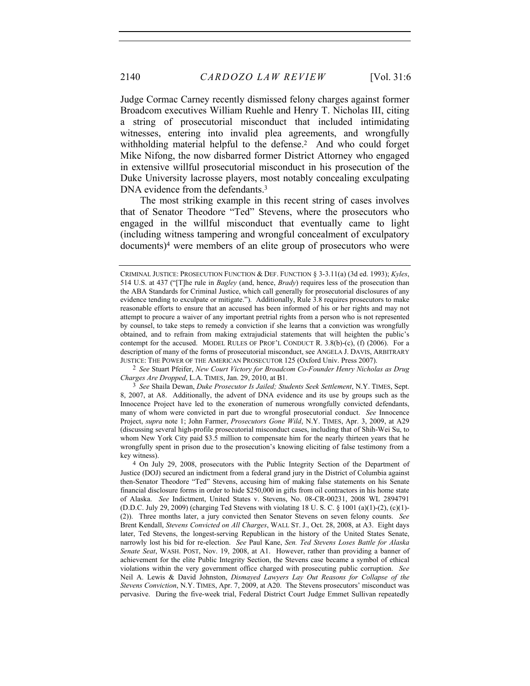Judge Cormac Carney recently dismissed felony charges against former Broadcom executives William Ruehle and Henry T. Nicholas III, citing a string of prosecutorial misconduct that included intimidating witnesses, entering into invalid plea agreements, and wrongfully withholding material helpful to the defense.<sup>2</sup> And who could forget Mike Nifong, the now disbarred former District Attorney who engaged in extensive willful prosecutorial misconduct in his prosecution of the Duke University lacrosse players, most notably concealing exculpating DNA evidence from the defendants.<sup>3</sup>

The most striking example in this recent string of cases involves that of Senator Theodore "Ted" Stevens, where the prosecutors who engaged in the willful misconduct that eventually came to light (including witness tampering and wrongful concealment of exculpatory documents)4 were members of an elite group of prosecutors who were

CRIMINAL JUSTICE: PROSECUTION FUNCTION & DEF. FUNCTION § 3-3.11(a) (3d ed. 1993); *Kyles*, 514 U.S. at 437 ("[T]he rule in *Bagley* (and, hence, *Brady*) requires less of the prosecution than the ABA Standards for Criminal Justice, which call generally for prosecutorial disclosures of any evidence tending to exculpate or mitigate."). Additionally, Rule 3.8 requires prosecutors to make reasonable efforts to ensure that an accused has been informed of his or her rights and may not attempt to procure a waiver of any important pretrial rights from a person who is not represented by counsel, to take steps to remedy a conviction if she learns that a conviction was wrongfully obtained, and to refrain from making extrajudicial statements that will heighten the public's contempt for the accused. MODEL RULES OF PROF'L CONDUCT R. 3.8(b)-(c), (f) (2006). For a description of many of the forms of prosecutorial misconduct, see ANGELA J. DAVIS, ARBITRARY JUSTICE: THE POWER OF THE AMERICAN PROSECUTOR 125 (Oxford Univ. Press 2007).

<sup>2</sup> *See* Stuart Pfeifer, *New Court Victory for Broadcom Co-Founder Henry Nicholas as Drug Charges Are Dropped*, L.A. TIMES, Jan. 29, 2010, at B1.

<sup>3</sup> *See* Shaila Dewan, *Duke Prosecutor Is Jailed; Students Seek Settlement*, N.Y. TIMES, Sept. 8, 2007, at A8. Additionally, the advent of DNA evidence and its use by groups such as the Innocence Project have led to the exoneration of numerous wrongfully convicted defendants, many of whom were convicted in part due to wrongful prosecutorial conduct. *See* Innocence Project, *supra* note 1; John Farmer, *Prosecutors Gone Wild*, N.Y. TIMES, Apr. 3, 2009, at A29 (discussing several high-profile prosecutorial misconduct cases, including that of Shih-Wei Su, to whom New York City paid \$3.5 million to compensate him for the nearly thirteen years that he wrongfully spent in prison due to the prosecution's knowing eliciting of false testimony from a key witness).

<sup>4</sup> On July 29, 2008, prosecutors with the Public Integrity Section of the Department of Justice (DOJ) secured an indictment from a federal grand jury in the District of Columbia against then-Senator Theodore "Ted" Stevens, accusing him of making false statements on his Senate financial disclosure forms in order to hide \$250,000 in gifts from oil contractors in his home state of Alaska. *See* Indictment, United States v. Stevens, No. 08-CR-00231, 2008 WL 2894791 (D.D.C. July 29, 2009) (charging Ted Stevens with violating 18 U. S. C. § 1001 (a)(1)-(2), (c)(1)- (2)). Three months later, a jury convicted then Senator Stevens on seven felony counts. *See*  Brent Kendall, *Stevens Convicted on All Charges*, WALL ST. J., Oct. 28, 2008, at A3. Eight days later, Ted Stevens, the longest-serving Republican in the history of the United States Senate, narrowly lost his bid for re-election. *See* Paul Kane, *Sen. Ted Stevens Loses Battle for Alaska Senate Seat*, WASH. POST, Nov. 19, 2008, at A1. However, rather than providing a banner of achievement for the elite Public Integrity Section, the Stevens case became a symbol of ethical violations within the very government office charged with prosecuting public corruption. *See*  Neil A. Lewis & David Johnston, *Dismayed Lawyers Lay Out Reasons for Collapse of the Stevens Conviction*, N.Y. TIMES, Apr. 7, 2009, at A20. The Stevens prosecutors' misconduct was pervasive. During the five-week trial, Federal District Court Judge Emmet Sullivan repeatedly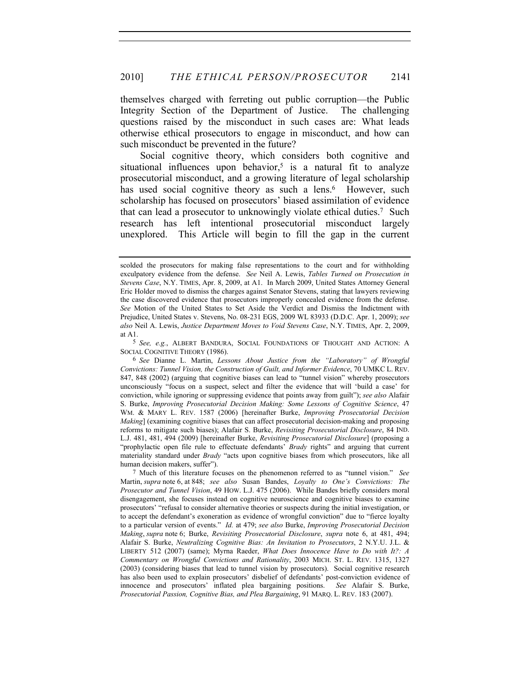themselves charged with ferreting out public corruption—the Public Integrity Section of the Department of Justice. The challenging questions raised by the misconduct in such cases are: What leads otherwise ethical prosecutors to engage in misconduct, and how can such misconduct be prevented in the future?

Social cognitive theory, which considers both cognitive and situational influences upon behavior,<sup>5</sup> is a natural fit to analyze prosecutorial misconduct, and a growing literature of legal scholarship has used social cognitive theory as such a lens.<sup>6</sup> However, such scholarship has focused on prosecutors' biased assimilation of evidence that can lead a prosecutor to unknowingly violate ethical duties.7 Such research has left intentional prosecutorial misconduct largely unexplored. This Article will begin to fill the gap in the current

5 *See, e.g.*, ALBERT BANDURA, SOCIAL FOUNDATIONS OF THOUGHT AND ACTION: A SOCIAL COGNITIVE THEORY (1986).

7 Much of this literature focuses on the phenomenon referred to as "tunnel vision." *See*  Martin, *supra* note 6, at 848; *see also* Susan Bandes, *Loyalty to One's Convictions: The Prosecutor and Tunnel Vision*, 49 HOW. L.J. 475 (2006). While Bandes briefly considers moral disengagement, she focuses instead on cognitive neuroscience and cognitive biases to examine prosecutors' "refusal to consider alternative theories or suspects during the initial investigation, or to accept the defendant's exoneration as evidence of wrongful conviction" due to "fierce loyalty to a particular version of events." *Id.* at 479; *see also* Burke, *Improving Prosecutorial Decision Making*, *supra* note 6; Burke, *Revisiting Prosecutorial Disclosure*, *supra* note 6, at 481, 494; Alafair S. Burke, *Neutralizing Cognitive Bias: An Invitation to Prosecutors*, 2 N.Y.U. J.L. & LIBERTY 512 (2007) (same); Myrna Raeder, *What Does Innocence Have to Do with It?: A Commentary on Wrongful Convictions and Rationality*, 2003 MICH. ST. L. REV. 1315, 1327 (2003) (considering biases that lead to tunnel vision by prosecutors). Social cognitive research has also been used to explain prosecutors' disbelief of defendants' post-conviction evidence of innocence and prosecutors' inflated plea bargaining positions. *See* Alafair S. Burke, *Prosecutorial Passion, Cognitive Bias, and Plea Bargaining*, 91 MARQ. L. REV. 183 (2007).

scolded the prosecutors for making false representations to the court and for withholding exculpatory evidence from the defense. *See* Neil A. Lewis, *Tables Turned on Prosecution in Stevens Case*, N.Y. TIMES, Apr. 8, 2009, at A1. In March 2009, United States Attorney General Eric Holder moved to dismiss the charges against Senator Stevens, stating that lawyers reviewing the case discovered evidence that prosecutors improperly concealed evidence from the defense. *See* Motion of the United States to Set Aside the Verdict and Dismiss the Indictment with Prejudice, United States v. Stevens, No. 08-231 EGS, 2009 WL 83933 (D.D.C. Apr. 1, 2009); *see also* Neil A. Lewis, *Justice Department Moves to Void Stevens Case*, N.Y. TIMES, Apr. 2, 2009, at A1.

<sup>6</sup> *See* Dianne L. Martin, *Lessons About Justice from the "Laboratory" of Wrongful Convictions: Tunnel Vision, the Construction of Guilt, and Informer Evidence*, 70 UMKC L. REV. 847, 848 (2002) (arguing that cognitive biases can lead to "tunnel vision" whereby prosecutors unconsciously "focus on a suspect, select and filter the evidence that will 'build a case' for conviction, while ignoring or suppressing evidence that points away from guilt"); *see also* Alafair S. Burke, *Improving Prosecutorial Decision Making: Some Lessons of Cognitive Science*, 47 WM. & MARY L. REV. 1587 (2006) [hereinafter Burke, *Improving Prosecutorial Decision Making*] (examining cognitive biases that can affect prosecutorial decision-making and proposing reforms to mitigate such biases); Alafair S. Burke, *Revisiting Prosecutorial Disclosure*, 84 IND. L.J. 481, 481, 494 (2009) [hereinafter Burke, *Revisiting Prosecutorial Disclosure*] (proposing a "prophylactic open file rule to effectuate defendants' *Brady* rights" and arguing that current materiality standard under *Brady* "acts upon cognitive biases from which prosecutors, like all human decision makers, suffer").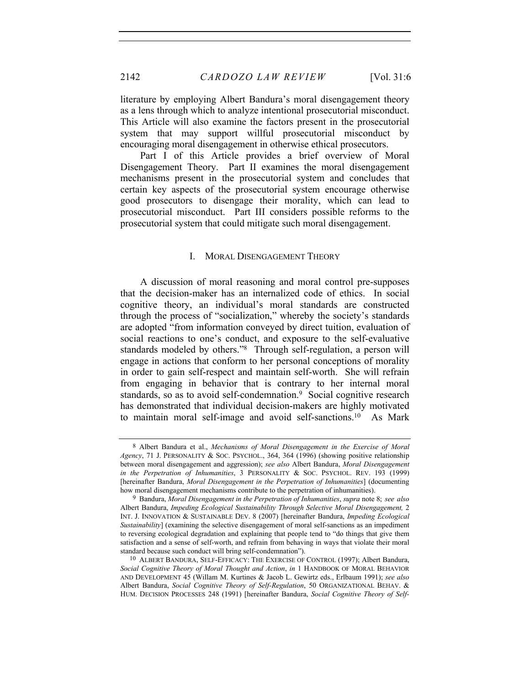literature by employing Albert Bandura's moral disengagement theory as a lens through which to analyze intentional prosecutorial misconduct. This Article will also examine the factors present in the prosecutorial system that may support willful prosecutorial misconduct by encouraging moral disengagement in otherwise ethical prosecutors.

Part I of this Article provides a brief overview of Moral Disengagement Theory. Part II examines the moral disengagement mechanisms present in the prosecutorial system and concludes that certain key aspects of the prosecutorial system encourage otherwise good prosecutors to disengage their morality, which can lead to prosecutorial misconduct. Part III considers possible reforms to the prosecutorial system that could mitigate such moral disengagement.

## I. MORAL DISENGAGEMENT THEORY

A discussion of moral reasoning and moral control pre-supposes that the decision-maker has an internalized code of ethics. In social cognitive theory, an individual's moral standards are constructed through the process of "socialization," whereby the society's standards are adopted "from information conveyed by direct tuition, evaluation of social reactions to one's conduct, and exposure to the self-evaluative standards modeled by others."8 Through self-regulation, a person will engage in actions that conform to her personal conceptions of morality in order to gain self-respect and maintain self-worth. She will refrain from engaging in behavior that is contrary to her internal moral standards, so as to avoid self-condemnation.<sup>9</sup> Social cognitive research has demonstrated that individual decision-makers are highly motivated to maintain moral self-image and avoid self-sanctions.10 As Mark

<sup>8</sup> Albert Bandura et al., *Mechanisms of Moral Disengagement in the Exercise of Moral Agency*, 71 J. PERSONALITY & SOC. PSYCHOL., 364, 364 (1996) (showing positive relationship between moral disengagement and aggression); *see also* Albert Bandura, *Moral Disengagement in the Perpetration of Inhumanities*, 3 PERSONALITY & SOC. PSYCHOL. REV. 193 (1999) [hereinafter Bandura, *Moral Disengagement in the Perpetration of Inhumanities*] (documenting how moral disengagement mechanisms contribute to the perpetration of inhumanities).

<sup>9</sup> Bandura, *Moral Disengagement in the Perpetration of Inhumanities*, *supra* note 8; *see also*  Albert Bandura, *Impeding Ecological Sustainability Through Selective Moral Disengagement,* 2 INT. J. INNOVATION & SUSTAINABLE DEV. 8 (2007) [hereinafter Bandura, *Impeding Ecological Sustainability*] (examining the selective disengagement of moral self-sanctions as an impediment to reversing ecological degradation and explaining that people tend to "do things that give them satisfaction and a sense of self-worth, and refrain from behaving in ways that violate their moral standard because such conduct will bring self-condemnation").

<sup>10</sup> ALBERT BANDURA, SELF-EFFICACY: THE EXERCISE OF CONTROL (1997); Albert Bandura, *Social Cognitive Theory of Moral Thought and Action*, *in* 1 HANDBOOK OF MORAL BEHAVIOR AND DEVELOPMENT 45 (Willam M. Kurtines & Jacob L. Gewirtz eds., Erlbaum 1991); *see also*  Albert Bandura, *Social Cognitive Theory of Self-Regulation*, 50 ORGANIZATIONAL BEHAV. & HUM. DECISION PROCESSES 248 (1991) [hereinafter Bandura, *Social Cognitive Theory of Self-*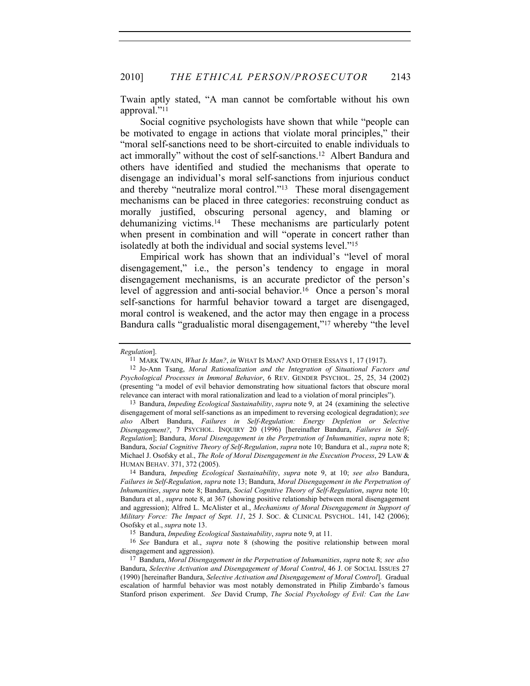Twain aptly stated, "A man cannot be comfortable without his own approval."11

Social cognitive psychologists have shown that while "people can be motivated to engage in actions that violate moral principles," their "moral self-sanctions need to be short-circuited to enable individuals to act immorally" without the cost of self-sanctions.12 Albert Bandura and others have identified and studied the mechanisms that operate to disengage an individual's moral self-sanctions from injurious conduct and thereby "neutralize moral control."13 These moral disengagement mechanisms can be placed in three categories: reconstruing conduct as morally justified, obscuring personal agency, and blaming or dehumanizing victims.14 These mechanisms are particularly potent when present in combination and will "operate in concert rather than isolatedly at both the individual and social systems level."15

Empirical work has shown that an individual's "level of moral disengagement," i.e., the person's tendency to engage in moral disengagement mechanisms, is an accurate predictor of the person's level of aggression and anti-social behavior.<sup>16</sup> Once a person's moral self-sanctions for harmful behavior toward a target are disengaged, moral control is weakened, and the actor may then engage in a process Bandura calls "gradualistic moral disengagement,"17 whereby "the level

*Regulation*].

<sup>11</sup> MARK TWAIN, *What Is Man?*, *in* WHAT IS MAN? AND OTHER ESSAYS 1, 17 (1917).

<sup>12</sup> Jo-Ann Tsang, *Moral Rationalization and the Integration of Situational Factors and Psychological Processes in Immoral Behavior*, 6 REV. GENDER PSYCHOL. 25, 25, 34 (2002) (presenting "a model of evil behavior demonstrating how situational factors that obscure moral relevance can interact with moral rationalization and lead to a violation of moral principles").

<sup>13</sup> Bandura, *Impeding Ecological Sustainability*, *supra* note 9, at 24 (examining the selective disengagement of moral self-sanctions as an impediment to reversing ecological degradation); *see also* Albert Bandura, *Failures in Self-Regulation: Energy Depletion or Selective Disengagement?*, 7 PSYCHOL. INQUIRY 20 (1996) [hereinafter Bandura, *Failures in Self-Regulation*]; Bandura, *Moral Disengagement in the Perpetration of Inhumanities*, *supra* note 8; Bandura, *Social Cognitive Theory of Self-Regulation*, *supra* note 10; Bandura et al., *supra* note 8; Michael J. Osofsky et al., *The Role of Moral Disengagement in the Execution Process*, 29 LAW & HUMAN BEHAV. 371, 372 (2005).

<sup>14</sup> Bandura, *Impeding Ecological Sustainability*, *supra* note 9, at 10; *see also* Bandura, *Failures in Self-Regulation*, *supra* note 13; Bandura, *Moral Disengagement in the Perpetration of Inhumanities*, *supra* note 8; Bandura, *Social Cognitive Theory of Self-Regulation*, *supra* note 10; Bandura et al*.*, *supra* note 8, at 367 (showing positive relationship between moral disengagement and aggression); Alfred L. McAlister et al., *Mechanisms of Moral Disengagement in Support of Military Force: The Impact of Sept. 11*, 25 J. SOC. & CLINICAL PSYCHOL. 141, 142 (2006); Osofsky et al., *supra* note 13.

<sup>15</sup> Bandura, *Impeding Ecological Sustainability*, *supra* note 9, at 11.

<sup>16</sup> *See* Bandura et al., *supra* note 8 (showing the positive relationship between moral disengagement and aggression).

<sup>17</sup> Bandura, *Moral Disengagement in the Perpetration of Inhumanities*, *supra* note 8; *see also*  Bandura, *Selective Activation and Disengagement of Moral Control*, 46 J. OF SOCIAL ISSUES 27 (1990) [hereinafter Bandura, *Selective Activation and Disengagement of Moral Control*]. Gradual escalation of harmful behavior was most notably demonstrated in Philip Zimbardo's famous Stanford prison experiment. *See* David Crump, *The Social Psychology of Evil: Can the Law*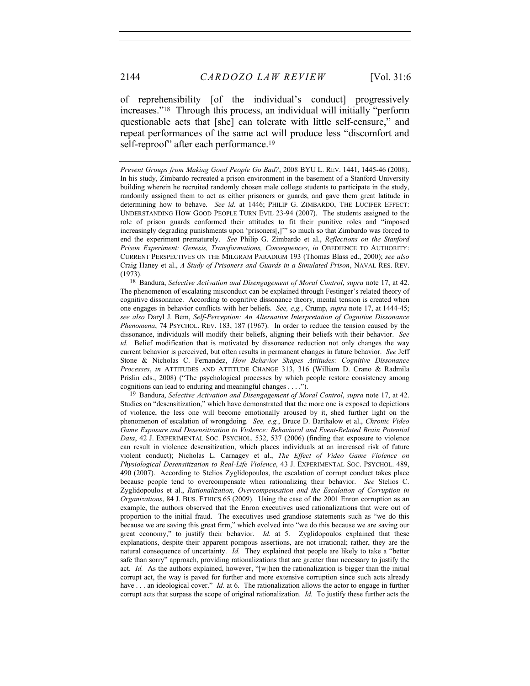of reprehensibility [of the individual's conduct] progressively increases."18 Through this process, an individual will initially "perform questionable acts that [she] can tolerate with little self-censure," and repeat performances of the same act will produce less "discomfort and self-reproof" after each performance.<sup>19</sup>

18 Bandura, *Selective Activation and Disengagement of Moral Control*, *supra* note 17, at 42. The phenomenon of escalating misconduct can be explained through Festinger's related theory of cognitive dissonance. According to cognitive dissonance theory, mental tension is created when one engages in behavior conflicts with her beliefs. *See, e.g.*, Crump, *supra* note 17, at 1444-45; *see also* Daryl J. Bem, *Self-Perception: An Alternative Interpretation of Cognitive Dissonance Phenomena*, 74 PSYCHOL. REV. 183, 187 (1967). In order to reduce the tension caused by the dissonance, individuals will modify their beliefs, aligning their beliefs with their behavior. *See id.* Belief modification that is motivated by dissonance reduction not only changes the way current behavior is perceived, but often results in permanent changes in future behavior. *See* Jeff Stone & Nicholas C. Fernandez, *How Behavior Shapes Attitudes: Cognitive Dissonance Processes*, *in* ATTITUDES AND ATTITUDE CHANGE 313, 316 (William D. Crano & Radmila Prislin eds., 2008) ("The psychological processes by which people restore consistency among cognitions can lead to enduring and meaningful changes . . . .").

19 Bandura, *Selective Activation and Disengagement of Moral Control*, *supra* note 17, at 42. Studies on "desensitization," which have demonstrated that the more one is exposed to depictions of violence, the less one will become emotionally aroused by it, shed further light on the phenomenon of escalation of wrongdoing. *See, e.g.*, Bruce D. Barthalow et al., *Chronic Video Game Exposure and Desensitization to Violence: Behavioral and Event-Related Brain Potential Data*, 42 J. EXPERIMENTAL SOC. PSYCHOL. 532, 537 (2006) (finding that exposure to violence can result in violence desensitization, which places individuals at an increased risk of future violent conduct); Nicholas L. Carnagey et al., *The Effect of Video Game Violence on Physiological Desensitization to Real-Life Violence*, 43 J. EXPERIMENTAL SOC. PSYCHOL. 489, 490 (2007). According to Stelios Zyglidopoulos, the escalation of corrupt conduct takes place because people tend to overcompensate when rationalizing their behavior. *See* Stelios C. Zyglidopoulos et al., *Rationalization, Overcompensation and the Escalation of Corruption in Organizations*, 84 J. BUS. ETHICS 65 (2009). Using the case of the 2001 Enron corruption as an example, the authors observed that the Enron executives used rationalizations that were out of proportion to the initial fraud. The executives used grandiose statements such as "we do this because we are saving this great firm," which evolved into "we do this because we are saving our great economy," to justify their behavior. *Id.* at 5. Zyglidopoulos explained that these explanations, despite their apparent pompous assertions, are not irrational; rather, they are the natural consequence of uncertainty. *Id.* They explained that people are likely to take a "better safe than sorry" approach, providing rationalizations that are greater than necessary to justify the act. *Id.* As the authors explained, however, "[w]hen the rationalization is bigger than the initial corrupt act, the way is paved for further and more extensive corruption since such acts already have . . . an ideological cover." *Id.* at 6. The rationalization allows the actor to engage in further corrupt acts that surpass the scope of original rationalization. *Id.* To justify these further acts the

*Prevent Groups from Making Good People Go Bad?*, 2008 BYU L. REV. 1441, 1445-46 (2008). In his study, Zimbardo recreated a prison environment in the basement of a Stanford University building wherein he recruited randomly chosen male college students to participate in the study, randomly assigned them to act as either prisoners or guards, and gave them great latitude in determining how to behave. *See id*. at 1446; PHILIP G. ZIMBARDO, THE LUCIFER EFFECT: UNDERSTANDING HOW GOOD PEOPLE TURN EVIL 23-94 (2007). The students assigned to the role of prison guards conformed their attitudes to fit their punitive roles and "imposed increasingly degrading punishments upon 'prisoners[,]'" so much so that Zimbardo was forced to end the experiment prematurely. *See* Philip G. Zimbardo et al., *Reflections on the Stanford Prison Experiment: Genesis, Transformations, Consequences*, *in* OBEDIENCE TO AUTHORITY: CURRENT PERSPECTIVES ON THE MILGRAM PARADIGM 193 (Thomas Blass ed., 2000); *see also*  Craig Haney et al., *A Study of Prisoners and Guards in a Simulated Prison*, NAVAL RES. REV. (1973).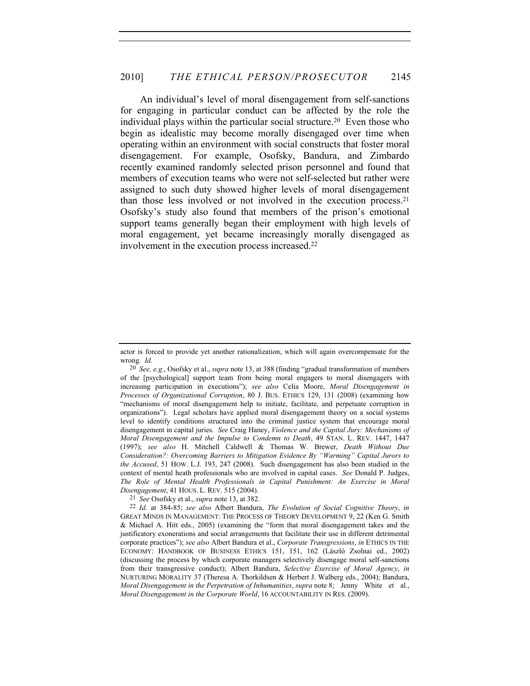An individual's level of moral disengagement from self-sanctions for engaging in particular conduct can be affected by the role the individual plays within the particular social structure.20 Even those who begin as idealistic may become morally disengaged over time when operating within an environment with social constructs that foster moral disengagement. For example, Osofsky, Bandura, and Zimbardo recently examined randomly selected prison personnel and found that members of execution teams who were not self-selected but rather were assigned to such duty showed higher levels of moral disengagement than those less involved or not involved in the execution process.21 Osofsky's study also found that members of the prison's emotional support teams generally began their employment with high levels of moral engagement, yet became increasingly morally disengaged as involvement in the execution process increased.22

21 *See* Osofsky et al., *supra* note 13, at 382.

actor is forced to provide yet another rationalization, which will again overcompensate for the wrong. *Id.*

<sup>20</sup> *See, e.g.*, Osofsky et al., *supra* note 13, at 388 (finding "gradual transformation of members of the [psychological] support team from being moral engagers to moral disengagers with increasing participation in executions"); *see also* Celia Moore, *Moral Disengagement in Processes of Organizational Corruption*, 80 J. BUS. ETHICS 129, 131 (2008) (examining how "mechanisms of moral disengagement help to initiate, facilitate, and perpetuate corruption in organizations"). Legal scholars have applied moral disengagement theory on a social systems level to identify conditions structured into the criminal justice system that encourage moral disengagement in capital juries*. See* Craig Haney, *Violence and the Capital Jury: Mechanisms of Moral Disengagement and the Impulse to Condemn to Death*, 49 STAN. L. REV. 1447, 1447 (1997); *see also* H. Mitchell Caldwell & Thomas W. Brewer, *Death Without Due Consideration?: Overcoming Barriers to Mitigation Evidence By "Warming" Capital Jurors to the Accused*, 51 HOW. L.J. 193, 247 (2008). Such disengagement has also been studied in the context of mental heath professionals who are involved in capital cases. *See* Donald P. Judges, *The Role of Mental Health Professionals in Capital Punishment: An Exercise in Moral Disengagement*, 41 HOUS. L. REV. 515 (2004).

<sup>22</sup> *Id.* at 384-85; *see also* Albert Bandura, *The Evolution of Social Cognitive Theory*, *in*  GREAT MINDS IN MANAGEMENT: THE PROCESS OF THEORY DEVELOPMENT 9, 22 (Ken G. Smith & Michael A. Hitt eds., 2005) (examining the "form that moral disengagement takes and the justificatory exonerations and social arrangements that facilitate their use in different detrimental corporate practices"); *see also* Albert Bandura et al., *Corporate Transgressions*, *in* ETHICS IN THE ECONOMY: HANDBOOK OF BUSINESS ETHICS 151, 151, 162 (László Zsolnai ed., 2002) (discussing the process by which corporate managers selectively disengage moral self-sanctions from their transgressive conduct); Albert Bandura, *Selective Exercise of Moral Agency*, *in* NURTURING MORALITY 37 (Theresa A. Thorkildsen & Herbert J. Walberg eds., 2004); Bandura, *Moral Disengagement in the Perpetration of Inhumanities*, *supra* note 8; Jenny White et al., *Moral Disengagement in the Corporate World*, 16 ACCOUNTABILITY IN RES. (2009).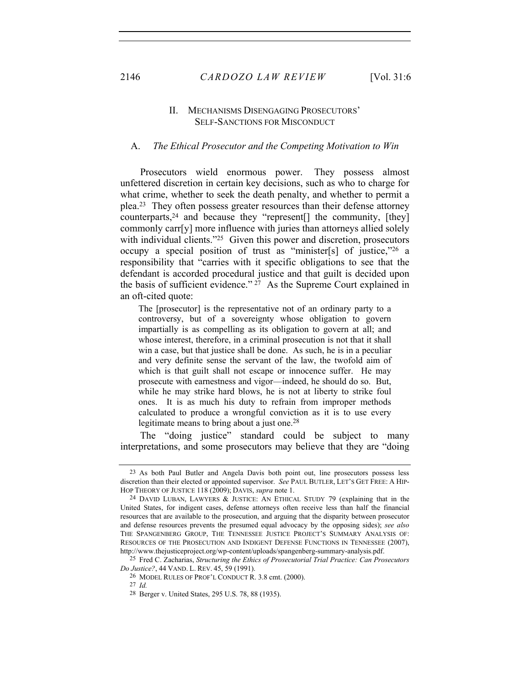# II. MECHANISMS DISENGAGING PROSECUTORS' SELF-SANCTIONS FOR MISCONDUCT

#### A. *The Ethical Prosecutor and the Competing Motivation to Win*

Prosecutors wield enormous power. They possess almost unfettered discretion in certain key decisions, such as who to charge for what crime, whether to seek the death penalty, and whether to permit a plea.23 They often possess greater resources than their defense attorney counterparts,24 and because they "represent[] the community, [they] commonly carr[y] more influence with juries than attorneys allied solely with individual clients."<sup>25</sup> Given this power and discretion, prosecutors occupy a special position of trust as "minister[s] of justice,"26 a responsibility that "carries with it specific obligations to see that the defendant is accorded procedural justice and that guilt is decided upon the basis of sufficient evidence."  $27$  As the Supreme Court explained in an oft-cited quote:

The [prosecutor] is the representative not of an ordinary party to a controversy, but of a sovereignty whose obligation to govern impartially is as compelling as its obligation to govern at all; and whose interest, therefore, in a criminal prosecution is not that it shall win a case, but that justice shall be done. As such, he is in a peculiar and very definite sense the servant of the law, the twofold aim of which is that guilt shall not escape or innocence suffer. He may prosecute with earnestness and vigor—indeed, he should do so. But, while he may strike hard blows, he is not at liberty to strike foul ones. It is as much his duty to refrain from improper methods calculated to produce a wrongful conviction as it is to use every legitimate means to bring about a just one.<sup>28</sup>

The "doing justice" standard could be subject to many interpretations, and some prosecutors may believe that they are "doing

25 Fred C. Zacharias, *Structuring the Ethics of Prosecutorial Trial Practice: Can Prosecutors Do Justice?*, 44 VAND. L. REV. 45, 59 (1991).

26 MODEL RULES OF PROF'L CONDUCT R. 3.8 cmt. (2000).

27 *Id.*

<sup>23</sup> As both Paul Butler and Angela Davis both point out, line prosecutors possess less discretion than their elected or appointed supervisor. *See* PAUL BUTLER, LET'S GET FREE: A HIP-HOP THEORY OF JUSTICE 118 (2009); DAVIS, *supra* note 1.

<sup>24</sup> DAVID LUBAN, LAWYERS & JUSTICE: AN ETHICAL STUDY 79 (explaining that in the United States, for indigent cases, defense attorneys often receive less than half the financial resources that are available to the prosecution, and arguing that the disparity between prosecutor and defense resources prevents the presumed equal advocacy by the opposing sides); *see also*  THE SPANGENBERG GROUP, THE TENNESSEE JUSTICE PROJECT'S SUMMARY ANALYSIS OF: RESOURCES OF THE PROSECUTION AND INDIGENT DEFENSE FUNCTIONS IN TENNESSEE (2007), http://www.thejusticeproject.org/wp-content/uploads/spangenberg-summary-analysis.pdf.

<sup>28</sup> Berger v. United States, 295 U.S. 78, 88 (1935).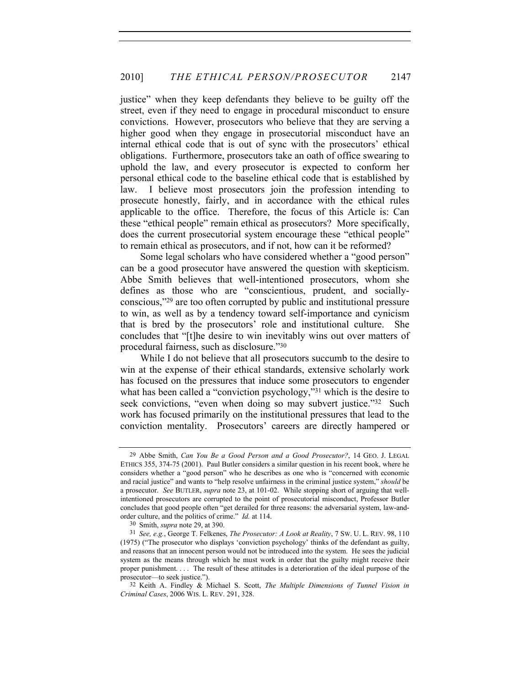justice" when they keep defendants they believe to be guilty off the street, even if they need to engage in procedural misconduct to ensure convictions. However, prosecutors who believe that they are serving a higher good when they engage in prosecutorial misconduct have an internal ethical code that is out of sync with the prosecutors' ethical obligations. Furthermore, prosecutors take an oath of office swearing to uphold the law, and every prosecutor is expected to conform her personal ethical code to the baseline ethical code that is established by law. I believe most prosecutors join the profession intending to prosecute honestly, fairly, and in accordance with the ethical rules applicable to the office. Therefore, the focus of this Article is: Can these "ethical people" remain ethical as prosecutors? More specifically, does the current prosecutorial system encourage these "ethical people" to remain ethical as prosecutors, and if not, how can it be reformed?

Some legal scholars who have considered whether a "good person" can be a good prosecutor have answered the question with skepticism. Abbe Smith believes that well-intentioned prosecutors, whom she defines as those who are "conscientious, prudent, and sociallyconscious,"29 are too often corrupted by public and institutional pressure to win, as well as by a tendency toward self-importance and cynicism that is bred by the prosecutors' role and institutional culture. She concludes that "[t]he desire to win inevitably wins out over matters of procedural fairness, such as disclosure."30

While I do not believe that all prosecutors succumb to the desire to win at the expense of their ethical standards, extensive scholarly work has focused on the pressures that induce some prosecutors to engender what has been called a "conviction psychology,"<sup>31</sup> which is the desire to seek convictions, "even when doing so may subvert justice."<sup>32</sup> Such work has focused primarily on the institutional pressures that lead to the conviction mentality. Prosecutors' careers are directly hampered or

<sup>29</sup> Abbe Smith, *Can You Be a Good Person and a Good Prosecutor?*, 14 GEO. J. LEGAL ETHICS 355, 374-75 (2001). Paul Butler considers a similar question in his recent book, where he considers whether a "good person" who he describes as one who is "concerned with economic and racial justice" and wants to "help resolve unfairness in the criminal justice system," *should* be a prosecutor. *See* BUTLER, *supra* note 23, at 101-02. While stopping short of arguing that wellintentioned prosecutors are corrupted to the point of prosecutorial misconduct, Professor Butler concludes that good people often "get derailed for three reasons: the adversarial system, law-andorder culture, and the politics of crime." *Id.* at 114.

<sup>30</sup> Smith, *supra* note 29, at 390.

<sup>31</sup> *See, e.g.*, George T. Felkenes, *The Prosecutor: A Look at Reality*, 7 SW. U. L. REV. 98, 110 (1975) ("The prosecutor who displays 'conviction psychology' thinks of the defendant as guilty, and reasons that an innocent person would not be introduced into the system. He sees the judicial system as the means through which he must work in order that the guilty might receive their proper punishment. . . . The result of these attitudes is a deterioration of the ideal purpose of the prosecutor—to seek justice.").

<sup>32</sup> Keith A. Findley & Michael S. Scott, *The Multiple Dimensions of Tunnel Vision in Criminal Cases*, 2006 WIS. L. REV. 291, 328.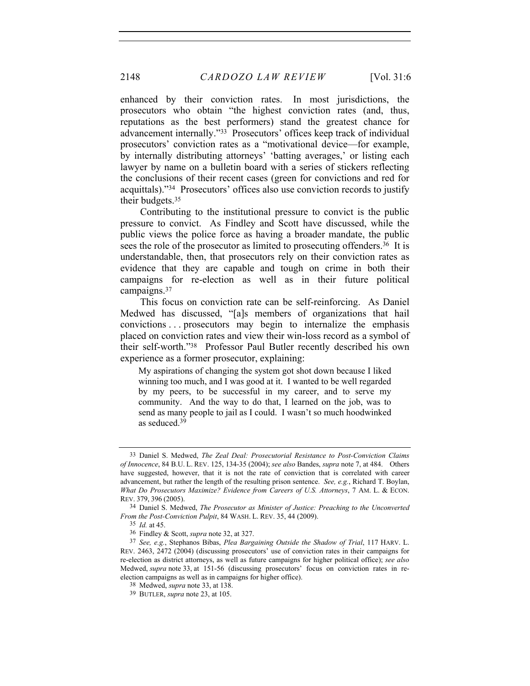enhanced by their conviction rates. In most jurisdictions, the prosecutors who obtain "the highest conviction rates (and, thus, reputations as the best performers) stand the greatest chance for advancement internally."33 Prosecutors' offices keep track of individual prosecutors' conviction rates as a "motivational device—for example, by internally distributing attorneys' 'batting averages,' or listing each lawyer by name on a bulletin board with a series of stickers reflecting the conclusions of their recent cases (green for convictions and red for acquittals)."34 Prosecutors' offices also use conviction records to justify their budgets.35

Contributing to the institutional pressure to convict is the public pressure to convict. As Findley and Scott have discussed, while the public views the police force as having a broader mandate, the public sees the role of the prosecutor as limited to prosecuting offenders.<sup>36</sup> It is understandable, then, that prosecutors rely on their conviction rates as evidence that they are capable and tough on crime in both their campaigns for re-election as well as in their future political campaigns.37

This focus on conviction rate can be self-reinforcing. As Daniel Medwed has discussed, "[a]s members of organizations that hail convictions . . . prosecutors may begin to internalize the emphasis placed on conviction rates and view their win-loss record as a symbol of their self-worth."38 Professor Paul Butler recently described his own experience as a former prosecutor, explaining:

My aspirations of changing the system got shot down because I liked winning too much, and I was good at it. I wanted to be well regarded by my peers, to be successful in my career, and to serve my community. And the way to do that, I learned on the job, was to send as many people to jail as I could. I wasn't so much hoodwinked as seduced.39

<sup>33</sup> Daniel S. Medwed, *The Zeal Deal: Prosecutorial Resistance to Post-Conviction Claims of Innocence*, 84 B.U. L. REV. 125, 134-35 (2004); *see also* Bandes, *supra* note 7, at 484. Others have suggested, however, that it is not the rate of conviction that is correlated with career advancement, but rather the length of the resulting prison sentence. *See, e.g.*, Richard T. Boylan, *What Do Prosecutors Maximize? Evidence from Careers of U.S. Attorneys*, 7 AM. L. & ECON. REV. 379, 396 (2005).

<sup>34</sup> Daniel S. Medwed, *The Prosecutor as Minister of Justice: Preaching to the Unconverted From the Post-Conviction Pulpit*, 84 WASH. L. REV. 35, 44 (2009).

<sup>35</sup> *Id.* at 45.

<sup>36</sup> Findley & Scott, *supra* note 32, at 327.

<sup>37</sup> *See, e.g.*, Stephanos Bibas, *Plea Bargaining Outside the Shadow of Trial*, 117 HARV. L. REV. 2463, 2472 (2004) (discussing prosecutors' use of conviction rates in their campaigns for re-election as district attorneys, as well as future campaigns for higher political office); *see also*  Medwed, *supra* note 33, at 151-56 (discussing prosecutors' focus on conviction rates in reelection campaigns as well as in campaigns for higher office).

<sup>38</sup> Medwed, *supra* note 33, at 138.

<sup>39</sup> BUTLER, *supra* note 23, at 105.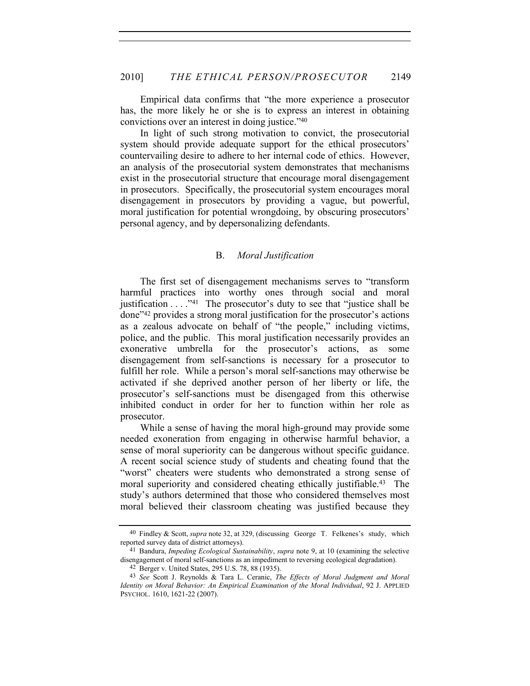Empirical data confirms that "the more experience a prosecutor has, the more likely he or she is to express an interest in obtaining convictions over an interest in doing justice."40

In light of such strong motivation to convict, the prosecutorial system should provide adequate support for the ethical prosecutors' countervailing desire to adhere to her internal code of ethics. However, an analysis of the prosecutorial system demonstrates that mechanisms exist in the prosecutorial structure that encourage moral disengagement in prosecutors. Specifically, the prosecutorial system encourages moral disengagement in prosecutors by providing a vague, but powerful, moral justification for potential wrongdoing, by obscuring prosecutors' personal agency, and by depersonalizing defendants.

# B. *Moral Justification*

The first set of disengagement mechanisms serves to "transform harmful practices into worthy ones through social and moral justification  $\dots$  ."<sup>41</sup> The prosecutor's duty to see that "justice shall be done"42 provides a strong moral justification for the prosecutor's actions as a zealous advocate on behalf of "the people," including victims, police, and the public. This moral justification necessarily provides an exonerative umbrella for the prosecutor's actions, as some disengagement from self-sanctions is necessary for a prosecutor to fulfill her role. While a person's moral self-sanctions may otherwise be activated if she deprived another person of her liberty or life, the prosecutor's self-sanctions must be disengaged from this otherwise inhibited conduct in order for her to function within her role as prosecutor.

While a sense of having the moral high-ground may provide some needed exoneration from engaging in otherwise harmful behavior, a sense of moral superiority can be dangerous without specific guidance. A recent social science study of students and cheating found that the "worst" cheaters were students who demonstrated a strong sense of moral superiority and considered cheating ethically justifiable.<sup>43</sup> The study's authors determined that those who considered themselves most moral believed their classroom cheating was justified because they

<sup>40</sup> Findley & Scott, *supra* note 32, at 329, (discussing George T. Felkenes's study, which reported survey data of district attorneys).

<sup>41</sup> Bandura, *Impeding Ecological Sustainability*, *supra* note 9, at 10 (examining the selective disengagement of moral self-sanctions as an impediment to reversing ecological degradation).

<sup>42</sup> Berger v. United States, 295 U.S. 78, 88 (1935).

<sup>43</sup> *See* Scott J. Reynolds & Tara L. Ceranic, *The Effects of Moral Judgment and Moral Identity on Moral Behavior: An Empirical Examination of the Moral Individual*, 92 J. APPLIED PSYCHOL. 1610, 1621-22 (2007).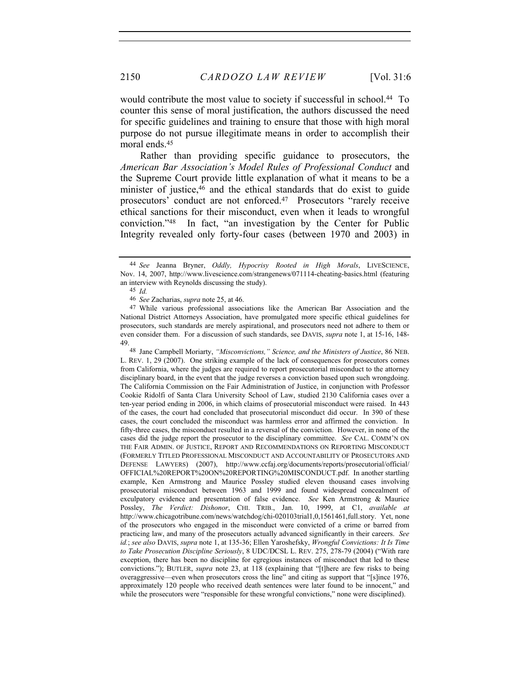would contribute the most value to society if successful in school.<sup>44</sup> To counter this sense of moral justification, the authors discussed the need for specific guidelines and training to ensure that those with high moral purpose do not pursue illegitimate means in order to accomplish their moral ends.45

Rather than providing specific guidance to prosecutors, the *American Bar Association's Model Rules of Professional Conduct* and the Supreme Court provide little explanation of what it means to be a minister of justice,<sup>46</sup> and the ethical standards that do exist to guide prosecutors' conduct are not enforced.47 Prosecutors "rarely receive ethical sanctions for their misconduct, even when it leads to wrongful conviction."48 In fact, "an investigation by the Center for Public Integrity revealed only forty-four cases (between 1970 and 2003) in

48 Jane Campbell Moriarty, *"Misconvictions," Science, and the Ministers of Justice*, 86 NEB. L. REV. 1, 29 (2007). One striking example of the lack of consequences for prosecutors comes from California, where the judges are required to report prosecutorial misconduct to the attorney disciplinary board, in the event that the judge reverses a conviction based upon such wrongdoing. The California Commission on the Fair Administration of Justice, in conjunction with Professor Cookie Ridolfi of Santa Clara University School of Law, studied 2130 California cases over a ten-year period ending in 2006, in which claims of prosecutorial misconduct were raised. In 443 of the cases, the court had concluded that prosecutorial misconduct did occur. In 390 of these cases, the court concluded the misconduct was harmless error and affirmed the conviction. In fifty-three cases, the misconduct resulted in a reversal of the conviction. However, in none of the cases did the judge report the prosecutor to the disciplinary committee. *See* CAL. COMM'N ON THE FAIR ADMIN. OF JUSTICE, REPORT AND RECOMMENDATIONS ON REPORTING MISCONDUCT (FORMERLY TITLED PROFESSIONAL MISCONDUCT AND ACCOUNTABILITY OF PROSECUTORS AND DEFENSE LAWYERS) (2007), http://www.ccfaj.org/documents/reports/prosecutorial/official/ OFFICIAL%20REPORT%20ON%20REPORTING%20MISCONDUCT.pdf. In another startling example, Ken Armstrong and Maurice Possley studied eleven thousand cases involving prosecutorial misconduct between 1963 and 1999 and found widespread concealment of exculpatory evidence and presentation of false evidence. *See* Ken Armstrong & Maurice Possley, *The Verdict: Dishonor*, CHI. TRIB., Jan. 10, 1999, at C1, *available at*  http://www.chicagotribune.com/news/watchdog/chi-020103trial1,0,1561461,full.story. Yet, none of the prosecutors who engaged in the misconduct were convicted of a crime or barred from practicing law, and many of the prosecutors actually advanced significantly in their careers. *See id.*; *see also* DAVIS, *supra* note 1, at 135-36; Ellen Yaroshefsky, *Wrongful Convictions: It Is Time to Take Prosecution Discipline Seriously*, 8 UDC/DCSL L. REV. 275, 278-79 (2004) ("With rare exception, there has been no discipline for egregious instances of misconduct that led to these convictions."); BUTLER, *supra* note 23, at 118 (explaining that "[t]here are few risks to being overaggressive—even when prosecutors cross the line" and citing as support that "[s]ince 1976, approximately 120 people who received death sentences were later found to be innocent," and while the prosecutors were "responsible for these wrongful convictions," none were disciplined).

<sup>44</sup> *See* Jeanna Bryner, *Oddly, Hypocrisy Rooted in High Morals*, LIVESCIENCE, Nov. 14, 2007, http://www.livescience.com/strangenews/071114-cheating-basics.html (featuring an interview with Reynolds discussing the study).

<sup>45</sup> *Id.*

<sup>46</sup> *See* Zacharias, *supra* note 25, at 46.

<sup>47</sup> While various professional associations like the American Bar Association and the National District Attorneys Association, have promulgated more specific ethical guidelines for prosecutors, such standards are merely aspirational, and prosecutors need not adhere to them or even consider them. For a discussion of such standards, see DAVIS, *supra* note 1, at 15-16, 148- 49.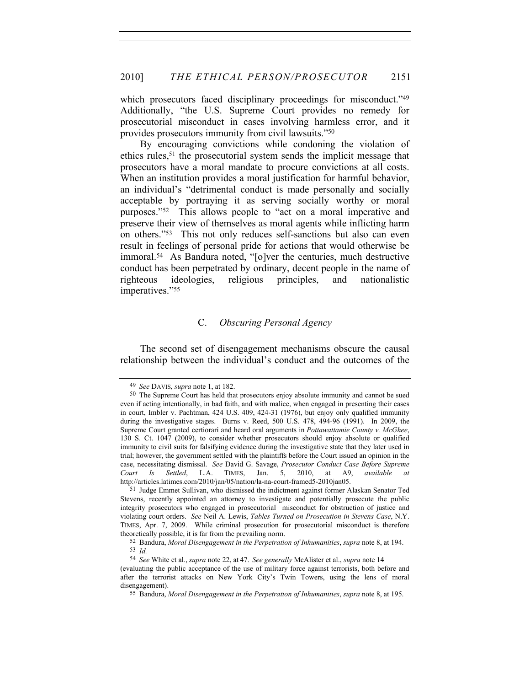which prosecutors faced disciplinary proceedings for misconduct."<sup>49</sup> Additionally, "the U.S. Supreme Court provides no remedy for prosecutorial misconduct in cases involving harmless error, and it provides prosecutors immunity from civil lawsuits."50

By encouraging convictions while condoning the violation of ethics rules,51 the prosecutorial system sends the implicit message that prosecutors have a moral mandate to procure convictions at all costs. When an institution provides a moral justification for harmful behavior, an individual's "detrimental conduct is made personally and socially acceptable by portraying it as serving socially worthy or moral purposes."52 This allows people to "act on a moral imperative and preserve their view of themselves as moral agents while inflicting harm on others."53 This not only reduces self-sanctions but also can even result in feelings of personal pride for actions that would otherwise be immoral.54 As Bandura noted, "[o]ver the centuries, much destructive conduct has been perpetrated by ordinary, decent people in the name of righteous ideologies, religious principles, and nationalistic imperatives."55

# C. *Obscuring Personal Agency*

The second set of disengagement mechanisms obscure the causal relationship between the individual's conduct and the outcomes of the

<sup>49</sup> *See* DAVIS, *supra* note 1, at 182.

<sup>50</sup> The Supreme Court has held that prosecutors enjoy absolute immunity and cannot be sued even if acting intentionally, in bad faith, and with malice, when engaged in presenting their cases in court, Imbler v. Pachtman, 424 U.S. 409, 424-31 (1976), but enjoy only qualified immunity during the investigative stages. Burns v. Reed, 500 U.S. 478, 494-96 (1991). In 2009, the Supreme Court granted certiorari and heard oral arguments in *Pottawattamie County v. McGhee*, 130 S. Ct. 1047 (2009), to consider whether prosecutors should enjoy absolute or qualified immunity to civil suits for falsifying evidence during the investigative state that they later used in trial; however, the government settled with the plaintiffs before the Court issued an opinion in the case, necessitating dismissal. *See* David G. Savage, *Prosecutor Conduct Case Before Supreme Court Is Settled*, L.A. TIMES, Jan. 5, 2010, at A9, *available at* http://articles.latimes.com/2010/jan/05/nation/la-na-court-framed5-2010jan05.

<sup>51</sup> Judge Emmet Sullivan, who dismissed the indictment against former Alaskan Senator Ted Stevens, recently appointed an attorney to investigate and potentially prosecute the public integrity prosecutors who engaged in prosecutorial misconduct for obstruction of justice and violating court orders. *See* Neil A. Lewis, *Tables Turned on Prosecution in Stevens Case*, N.Y. TIMES, Apr. 7, 2009. While criminal prosecution for prosecutorial misconduct is therefore theoretically possible, it is far from the prevailing norm.

<sup>52</sup> Bandura, *Moral Disengagement in the Perpetration of Inhumanities*, *supra* note 8, at 194. 53 *Id.*

<sup>54</sup> *See* White et al., *supra* note 22, at 47. *See generally* McAlister et al., *supra* note 14

<sup>(</sup>evaluating the public acceptance of the use of military force against terrorists, both before and after the terrorist attacks on New York City's Twin Towers, using the lens of moral disengagement).

<sup>55</sup> Bandura, *Moral Disengagement in the Perpetration of Inhumanities*, *supra* note 8, at 195.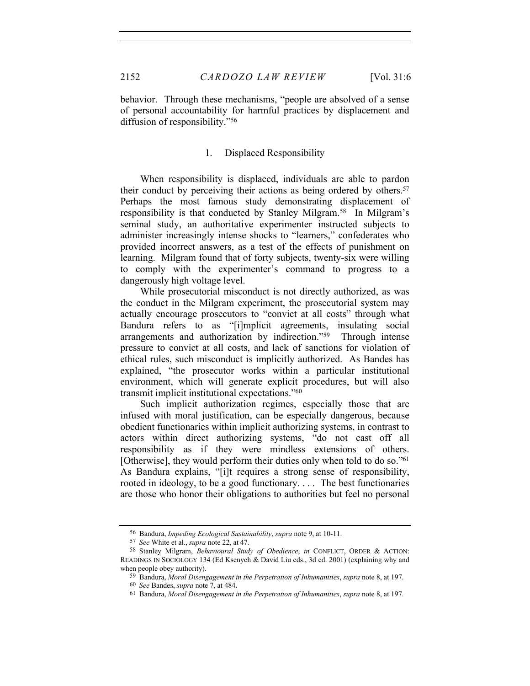behavior. Through these mechanisms, "people are absolved of a sense of personal accountability for harmful practices by displacement and diffusion of responsibility."56

# 1. Displaced Responsibility

When responsibility is displaced, individuals are able to pardon their conduct by perceiving their actions as being ordered by others.57 Perhaps the most famous study demonstrating displacement of responsibility is that conducted by Stanley Milgram.58 In Milgram's seminal study, an authoritative experimenter instructed subjects to administer increasingly intense shocks to "learners," confederates who provided incorrect answers, as a test of the effects of punishment on learning. Milgram found that of forty subjects, twenty-six were willing to comply with the experimenter's command to progress to a dangerously high voltage level.

While prosecutorial misconduct is not directly authorized, as was the conduct in the Milgram experiment, the prosecutorial system may actually encourage prosecutors to "convict at all costs" through what Bandura refers to as "[i]mplicit agreements, insulating social arrangements and authorization by indirection."59 Through intense pressure to convict at all costs, and lack of sanctions for violation of ethical rules, such misconduct is implicitly authorized. As Bandes has explained, "the prosecutor works within a particular institutional environment, which will generate explicit procedures, but will also transmit implicit institutional expectations."60

Such implicit authorization regimes, especially those that are infused with moral justification, can be especially dangerous, because obedient functionaries within implicit authorizing systems, in contrast to actors within direct authorizing systems, "do not cast off all responsibility as if they were mindless extensions of others. [Otherwise], they would perform their duties only when told to do so."<sup>61</sup> As Bandura explains, "[i]t requires a strong sense of responsibility, rooted in ideology, to be a good functionary. . . . The best functionaries are those who honor their obligations to authorities but feel no personal

<sup>56</sup> Bandura, *Impeding Ecological Sustainability*, *supra* note 9, at 10-11.

<sup>57</sup> *See* White et al., *supra* note 22, at 47.

<sup>58</sup> Stanley Milgram, *Behavioural Study of Obedience*, *in* CONFLICT, ORDER & ACTION: READINGS IN SOCIOLOGY 134 (Ed Ksenych & David Liu eds., 3d ed. 2001) (explaining why and when people obey authority).

<sup>59</sup> Bandura, *Moral Disengagement in the Perpetration of Inhumanities*, *supra* note 8, at 197. 60 *See* Bandes, *supra* note 7, at 484.

<sup>61</sup> Bandura, *Moral Disengagement in the Perpetration of Inhumanities*, *supra* note 8, at 197.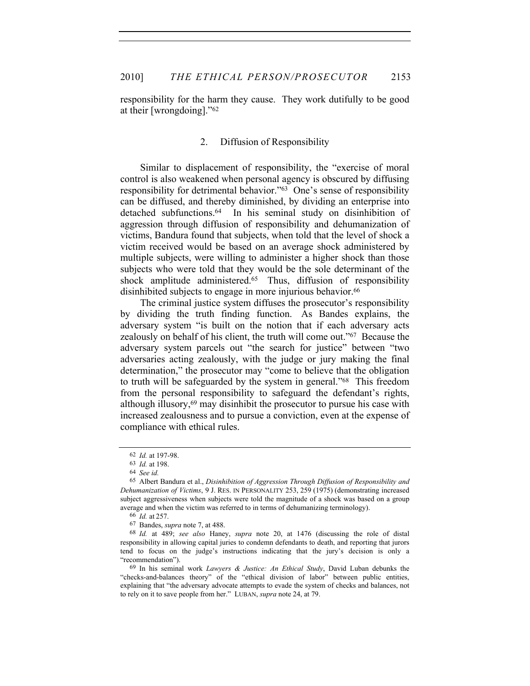responsibility for the harm they cause. They work dutifully to be good at their [wrongdoing]."62

## 2. Diffusion of Responsibility

Similar to displacement of responsibility, the "exercise of moral control is also weakened when personal agency is obscured by diffusing responsibility for detrimental behavior."63 One's sense of responsibility can be diffused, and thereby diminished, by dividing an enterprise into detached subfunctions.64 In his seminal study on disinhibition of aggression through diffusion of responsibility and dehumanization of victims, Bandura found that subjects, when told that the level of shock a victim received would be based on an average shock administered by multiple subjects, were willing to administer a higher shock than those subjects who were told that they would be the sole determinant of the shock amplitude administered.<sup>65</sup> Thus, diffusion of responsibility disinhibited subjects to engage in more injurious behavior.<sup>66</sup>

The criminal justice system diffuses the prosecutor's responsibility by dividing the truth finding function. As Bandes explains, the adversary system "is built on the notion that if each adversary acts zealously on behalf of his client, the truth will come out."67 Because the adversary system parcels out "the search for justice" between "two adversaries acting zealously, with the judge or jury making the final determination," the prosecutor may "come to believe that the obligation to truth will be safeguarded by the system in general."68 This freedom from the personal responsibility to safeguard the defendant's rights, although illusory,69 may disinhibit the prosecutor to pursue his case with increased zealousness and to pursue a conviction, even at the expense of compliance with ethical rules.

<sup>62</sup> *Id.* at 197-98.

<sup>63</sup> *Id.* at 198.

<sup>64</sup> *See id.*

<sup>65</sup> Albert Bandura et al., *Disinhibition of Aggression Through Diffusion of Responsibility and Dehumanization of Victims*, 9 J. RES. IN PERSONALITY 253, 259 (1975) (demonstrating increased subject aggressiveness when subjects were told the magnitude of a shock was based on a group average and when the victim was referred to in terms of dehumanizing terminology).

<sup>66</sup> *Id.* at 257.

<sup>67</sup> Bandes, *supra* note 7, at 488.

<sup>68</sup> *Id.* at 489; *see also* Haney, *supra* note 20, at 1476 (discussing the role of distal responsibility in allowing capital juries to condemn defendants to death, and reporting that jurors tend to focus on the judge's instructions indicating that the jury's decision is only a "recommendation").

<sup>69</sup> In his seminal work *Lawyers & Justice: An Ethical Study*, David Luban debunks the "checks-and-balances theory" of the "ethical division of labor" between public entities, explaining that "the adversary advocate attempts to evade the system of checks and balances, not to rely on it to save people from her." LUBAN, *supra* note 24, at 79.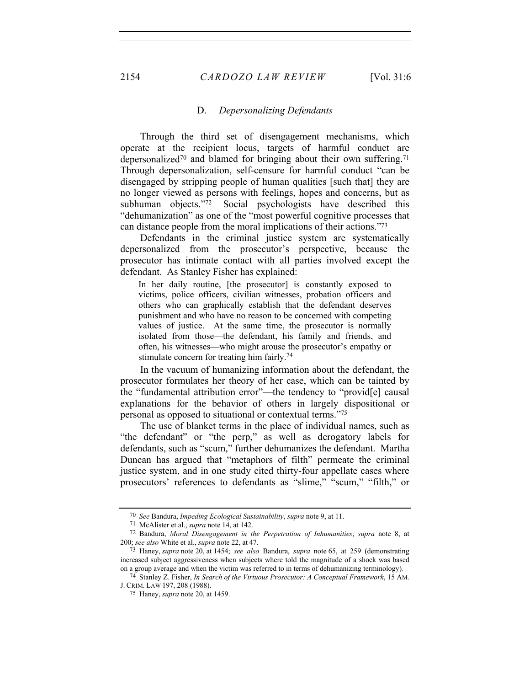# D. *Depersonalizing Defendants*

Through the third set of disengagement mechanisms, which operate at the recipient locus, targets of harmful conduct are depersonalized<sup>70</sup> and blamed for bringing about their own suffering.<sup>71</sup> Through depersonalization, self-censure for harmful conduct "can be disengaged by stripping people of human qualities [such that] they are no longer viewed as persons with feelings, hopes and concerns, but as subhuman objects."<sup>72</sup> Social psychologists have described this "dehumanization" as one of the "most powerful cognitive processes that can distance people from the moral implications of their actions."73

Defendants in the criminal justice system are systematically depersonalized from the prosecutor's perspective, because the prosecutor has intimate contact with all parties involved except the defendant. As Stanley Fisher has explained:

In her daily routine, [the prosecutor] is constantly exposed to victims, police officers, civilian witnesses, probation officers and others who can graphically establish that the defendant deserves punishment and who have no reason to be concerned with competing values of justice. At the same time, the prosecutor is normally isolated from those—the defendant, his family and friends, and often, his witnesses—who might arouse the prosecutor's empathy or stimulate concern for treating him fairly.<sup>74</sup>

In the vacuum of humanizing information about the defendant, the prosecutor formulates her theory of her case, which can be tainted by the "fundamental attribution error"—the tendency to "provid[e] causal explanations for the behavior of others in largely dispositional or personal as opposed to situational or contextual terms."75

The use of blanket terms in the place of individual names, such as "the defendant" or "the perp," as well as derogatory labels for defendants, such as "scum," further dehumanizes the defendant. Martha Duncan has argued that "metaphors of filth" permeate the criminal justice system, and in one study cited thirty-four appellate cases where prosecutors' references to defendants as "slime," "scum," "filth," or

<sup>70</sup> *See* Bandura, *Impeding Ecological Sustainability*, *supra* note 9, at 11.

<sup>71</sup> McAlister et al., *supra* note 14, at 142.

<sup>72</sup> Bandura, *Moral Disengagement in the Perpetration of Inhumanities*, *supra* note 8, at 200; *see also* White et al., *supra* note 22, at 47.

<sup>73</sup> Haney, *supra* note 20, at 1454; *see also* Bandura, *supra* note 65, at 259 (demonstrating increased subject aggressiveness when subjects where told the magnitude of a shock was based on a group average and when the victim was referred to in terms of dehumanizing terminology)*.*

<sup>74</sup> Stanley Z. Fisher, *In Search of the Virtuous Prosecutor: A Conceptual Framework*, 15 AM. J. CRIM. LAW 197, 208 (1988).

<sup>75</sup> Haney, *supra* note 20, at 1459.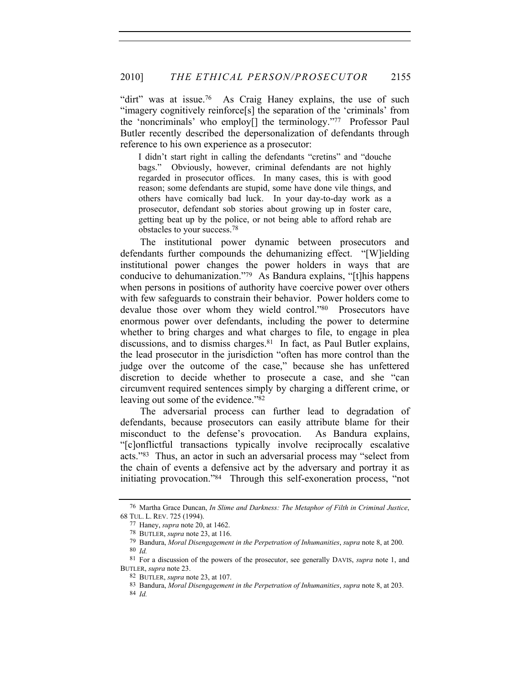"dirt" was at issue.<sup>76</sup> As Craig Haney explains, the use of such "imagery cognitively reinforce[s] the separation of the 'criminals' from the 'noncriminals' who employ[] the terminology."77 Professor Paul Butler recently described the depersonalization of defendants through reference to his own experience as a prosecutor:

I didn't start right in calling the defendants "cretins" and "douche bags." Obviously, however, criminal defendants are not highly regarded in prosecutor offices. In many cases, this is with good reason; some defendants are stupid, some have done vile things, and others have comically bad luck. In your day-to-day work as a prosecutor, defendant sob stories about growing up in foster care, getting beat up by the police, or not being able to afford rehab are obstacles to your success.78

The institutional power dynamic between prosecutors and defendants further compounds the dehumanizing effect. "[W]ielding institutional power changes the power holders in ways that are conducive to dehumanization."79 As Bandura explains, "[t]his happens when persons in positions of authority have coercive power over others with few safeguards to constrain their behavior. Power holders come to devalue those over whom they wield control."80 Prosecutors have enormous power over defendants, including the power to determine whether to bring charges and what charges to file, to engage in plea discussions, and to dismiss charges.<sup>81</sup> In fact, as Paul Butler explains, the lead prosecutor in the jurisdiction "often has more control than the judge over the outcome of the case," because she has unfettered discretion to decide whether to prosecute a case, and she "can circumvent required sentences simply by charging a different crime, or leaving out some of the evidence."82

The adversarial process can further lead to degradation of defendants, because prosecutors can easily attribute blame for their misconduct to the defense's provocation. As Bandura explains, "[c]onflictful transactions typically involve reciprocally escalative acts."83 Thus, an actor in such an adversarial process may "select from the chain of events a defensive act by the adversary and portray it as initiating provocation."84 Through this self-exoneration process, "not

<sup>76</sup> Martha Grace Duncan, *In Slime and Darkness: The Metaphor of Filth in Criminal Justice*, 68 TUL. L. REV. 725 (1994).

<sup>77</sup> Haney, *supra* note 20, at 1462.

<sup>78</sup> BUTLER, *supra* note 23, at 116.

<sup>79</sup> Bandura, *Moral Disengagement in the Perpetration of Inhumanities*, *supra* note 8, at 200. 80 *Id.*

<sup>81</sup> For a discussion of the powers of the prosecutor, see generally DAVIS, *supra* note 1, and BUTLER, *supra* note 23.

<sup>82</sup> BUTLER, *supra* note 23, at 107.

<sup>83</sup> Bandura, *Moral Disengagement in the Perpetration of Inhumanities*, *supra* note 8, at 203. 84 *Id.*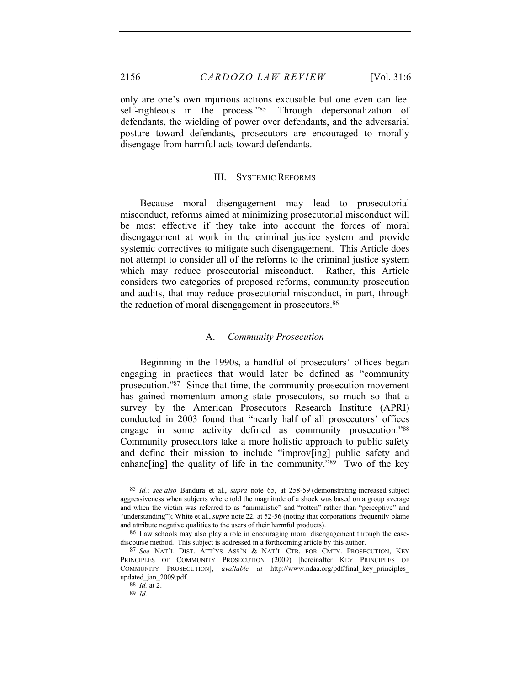only are one's own injurious actions excusable but one even can feel self-righteous in the process."<sup>85</sup> Through depersonalization of defendants, the wielding of power over defendants, and the adversarial posture toward defendants, prosecutors are encouraged to morally disengage from harmful acts toward defendants.

# III. SYSTEMIC REFORMS

Because moral disengagement may lead to prosecutorial misconduct, reforms aimed at minimizing prosecutorial misconduct will be most effective if they take into account the forces of moral disengagement at work in the criminal justice system and provide systemic correctives to mitigate such disengagement. This Article does not attempt to consider all of the reforms to the criminal justice system which may reduce prosecutorial misconduct. Rather, this Article considers two categories of proposed reforms, community prosecution and audits, that may reduce prosecutorial misconduct, in part, through the reduction of moral disengagement in prosecutors.<sup>86</sup>

### A. *Community Prosecution*

Beginning in the 1990s, a handful of prosecutors' offices began engaging in practices that would later be defined as "community prosecution."87 Since that time, the community prosecution movement has gained momentum among state prosecutors, so much so that a survey by the American Prosecutors Research Institute (APRI) conducted in 2003 found that "nearly half of all prosecutors' offices engage in some activity defined as community prosecution."88 Community prosecutors take a more holistic approach to public safety and define their mission to include "improv[ing] public safety and enhanc[ing] the quality of life in the community." $89^\circ$  Two of the key

<sup>85</sup> *Id.*; *see also* Bandura et al., *supra* note 65, at 258-59 (demonstrating increased subject aggressiveness when subjects where told the magnitude of a shock was based on a group average and when the victim was referred to as "animalistic" and "rotten" rather than "perceptive" and "understanding"); White et al., *supra* note 22, at 52-56 (noting that corporations frequently blame and attribute negative qualities to the users of their harmful products).

<sup>86</sup> Law schools may also play a role in encouraging moral disengagement through the casediscourse method. This subject is addressed in a forthcoming article by this author.

<sup>87</sup> *See* NAT'L DIST. ATT'YS ASS'N & NAT'L CTR. FOR CMTY. PROSECUTION, KEY PRINCIPLES OF COMMUNITY PROSECUTION (2009) [hereinafter KEY PRINCIPLES OF COMMUNITY PROSECUTION], *available at* http://www.ndaa.org/pdf/final\_key\_principles\_ updated\_jan\_2009.pdf.

<sup>88</sup> *Id.* at  $2$ .

<sup>89</sup> *Id.*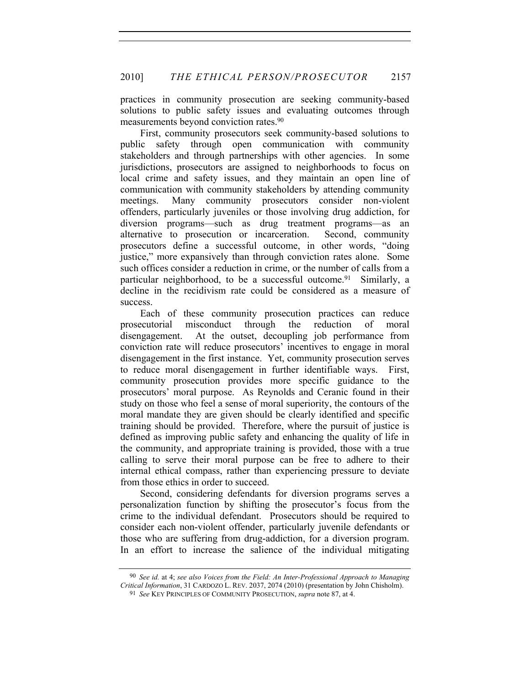practices in community prosecution are seeking community-based solutions to public safety issues and evaluating outcomes through measurements beyond conviction rates.<sup>90</sup>

First, community prosecutors seek community-based solutions to public safety through open communication with community stakeholders and through partnerships with other agencies. In some jurisdictions, prosecutors are assigned to neighborhoods to focus on local crime and safety issues, and they maintain an open line of communication with community stakeholders by attending community meetings. Many community prosecutors consider non-violent offenders, particularly juveniles or those involving drug addiction, for diversion programs—such as drug treatment programs—as an alternative to prosecution or incarceration. Second, community prosecutors define a successful outcome, in other words, "doing justice," more expansively than through conviction rates alone. Some such offices consider a reduction in crime, or the number of calls from a particular neighborhood, to be a successful outcome.<sup>91</sup> Similarly, a decline in the recidivism rate could be considered as a measure of success.

Each of these community prosecution practices can reduce prosecutorial misconduct through the reduction of moral disengagement. At the outset, decoupling job performance from conviction rate will reduce prosecutors' incentives to engage in moral disengagement in the first instance. Yet, community prosecution serves to reduce moral disengagement in further identifiable ways. First, community prosecution provides more specific guidance to the prosecutors' moral purpose. As Reynolds and Ceranic found in their study on those who feel a sense of moral superiority, the contours of the moral mandate they are given should be clearly identified and specific training should be provided. Therefore, where the pursuit of justice is defined as improving public safety and enhancing the quality of life in the community, and appropriate training is provided, those with a true calling to serve their moral purpose can be free to adhere to their internal ethical compass, rather than experiencing pressure to deviate from those ethics in order to succeed.

Second, considering defendants for diversion programs serves a personalization function by shifting the prosecutor's focus from the crime to the individual defendant. Prosecutors should be required to consider each non-violent offender, particularly juvenile defendants or those who are suffering from drug-addiction, for a diversion program. In an effort to increase the salience of the individual mitigating

<sup>90</sup> *See id.* at 4; *see also Voices from the Field: An Inter-Professional Approach to Managing Critical Information*, 31 CARDOZO L. REV. 2037, 2074 (2010) (presentation by John Chisholm).

<sup>91</sup> *See* KEY PRINCIPLES OF COMMUNITY PROSECUTION, *supra* note 87, at 4.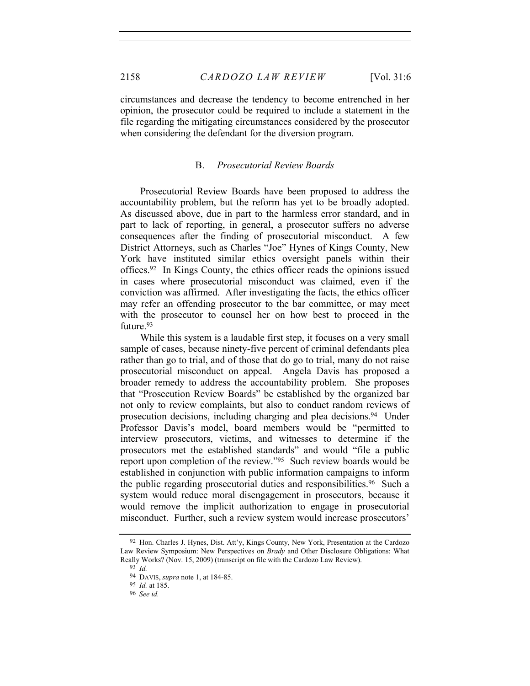circumstances and decrease the tendency to become entrenched in her opinion, the prosecutor could be required to include a statement in the file regarding the mitigating circumstances considered by the prosecutor when considering the defendant for the diversion program.

# B. *Prosecutorial Review Boards*

Prosecutorial Review Boards have been proposed to address the accountability problem, but the reform has yet to be broadly adopted. As discussed above, due in part to the harmless error standard, and in part to lack of reporting, in general, a prosecutor suffers no adverse consequences after the finding of prosecutorial misconduct. A few District Attorneys, such as Charles "Joe" Hynes of Kings County, New York have instituted similar ethics oversight panels within their offices.92 In Kings County, the ethics officer reads the opinions issued in cases where prosecutorial misconduct was claimed, even if the conviction was affirmed. After investigating the facts, the ethics officer may refer an offending prosecutor to the bar committee, or may meet with the prosecutor to counsel her on how best to proceed in the future.<sup>93</sup>

While this system is a laudable first step, it focuses on a very small sample of cases, because ninety-five percent of criminal defendants plea rather than go to trial, and of those that do go to trial, many do not raise prosecutorial misconduct on appeal. Angela Davis has proposed a broader remedy to address the accountability problem. She proposes that "Prosecution Review Boards" be established by the organized bar not only to review complaints, but also to conduct random reviews of prosecution decisions, including charging and plea decisions.94 Under Professor Davis's model, board members would be "permitted to interview prosecutors, victims, and witnesses to determine if the prosecutors met the established standards" and would "file a public report upon completion of the review."95 Such review boards would be established in conjunction with public information campaigns to inform the public regarding prosecutorial duties and responsibilities.<sup>96</sup> Such a system would reduce moral disengagement in prosecutors, because it would remove the implicit authorization to engage in prosecutorial misconduct. Further, such a review system would increase prosecutors'

<sup>92</sup> Hon. Charles J. Hynes, Dist. Att'y, Kings County, New York, Presentation at the Cardozo Law Review Symposium: New Perspectives on *Brady* and Other Disclosure Obligations: What Really Works? (Nov. 15, 2009) (transcript on file with the Cardozo Law Review).

<sup>93</sup> *Id.*

<sup>94</sup> DAVIS, *supra* note 1, at 184-85.

<sup>95</sup> *Id.* at 185.

<sup>96</sup> *See id.*